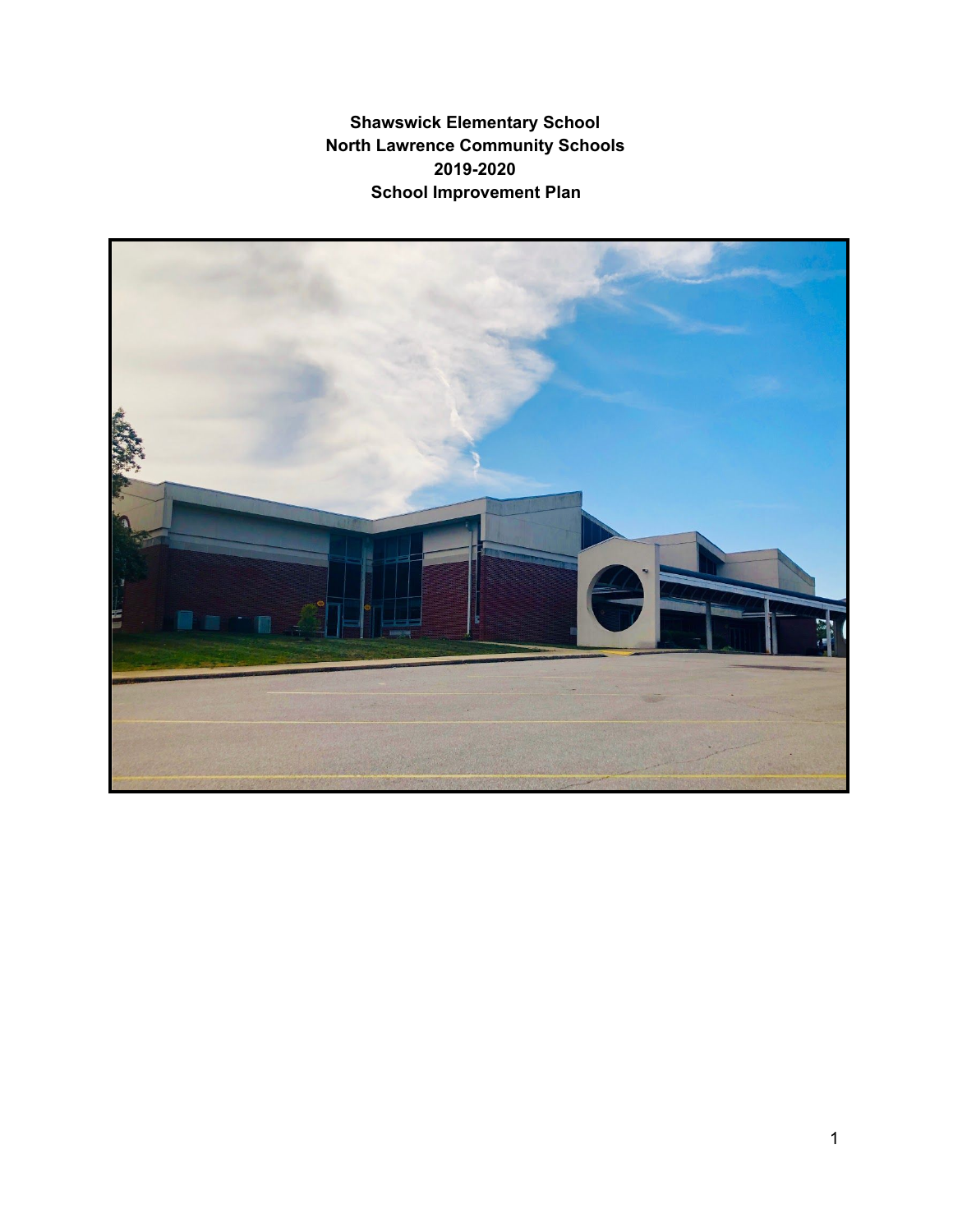**Shawswick Elementary School North Lawrence Community Schools 2019-2020 School Improvement Plan**

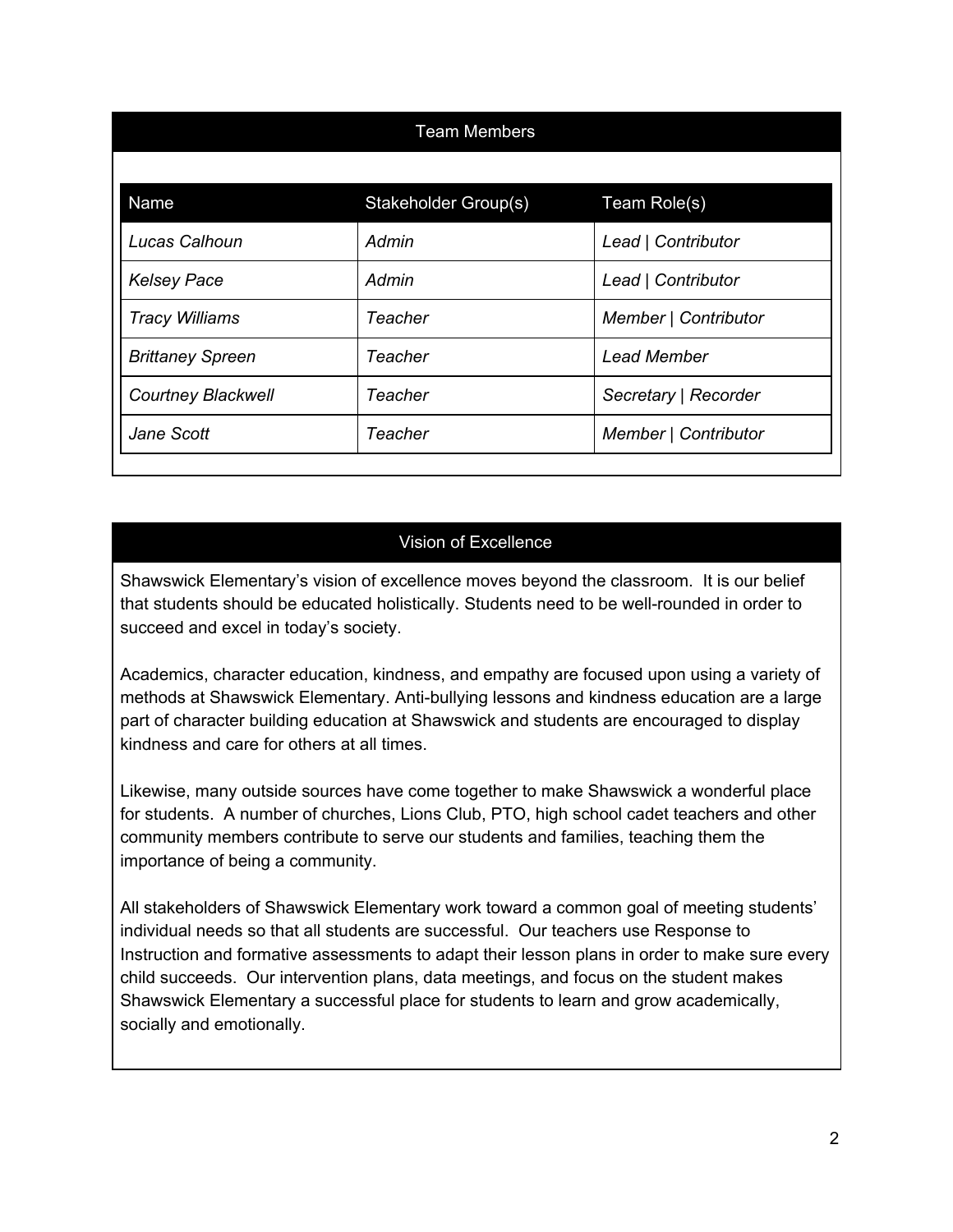|                           | <b>Team Members</b>  |                      |
|---------------------------|----------------------|----------------------|
| Name                      | Stakeholder Group(s) | Team Role(s)         |
| Lucas Calhoun             | Admin                | Lead   Contributor   |
| <b>Kelsey Pace</b>        | Admin                | Lead   Contributor   |
| <b>Tracy Williams</b>     | Teacher              | Member   Contributor |
| <b>Brittaney Spreen</b>   | Teacher              | <b>Lead Member</b>   |
| <b>Courtney Blackwell</b> | Teacher              | Secretary   Recorder |
| Jane Scott                | <b>Teacher</b>       | Member   Contributor |
|                           |                      |                      |

# Vision of Excellence

Shawswick Elementary's vision of excellence moves beyond the classroom. It is our belief that students should be educated holistically. Students need to be well-rounded in order to succeed and excel in today's society.

Academics, character education, kindness, and empathy are focused upon using a variety of methods at Shawswick Elementary. Anti-bullying lessons and kindness education are a large part of character building education at Shawswick and students are encouraged to display kindness and care for others at all times.

Likewise, many outside sources have come together to make Shawswick a wonderful place for students. A number of churches, Lions Club, PTO, high school cadet teachers and other community members contribute to serve our students and families, teaching them the importance of being a community.

All stakeholders of Shawswick Elementary work toward a common goal of meeting students' individual needs so that all students are successful. Our teachers use Response to Instruction and formative assessments to adapt their lesson plans in order to make sure every child succeeds. Our intervention plans, data meetings, and focus on the student makes Shawswick Elementary a successful place for students to learn and grow academically, socially and emotionally.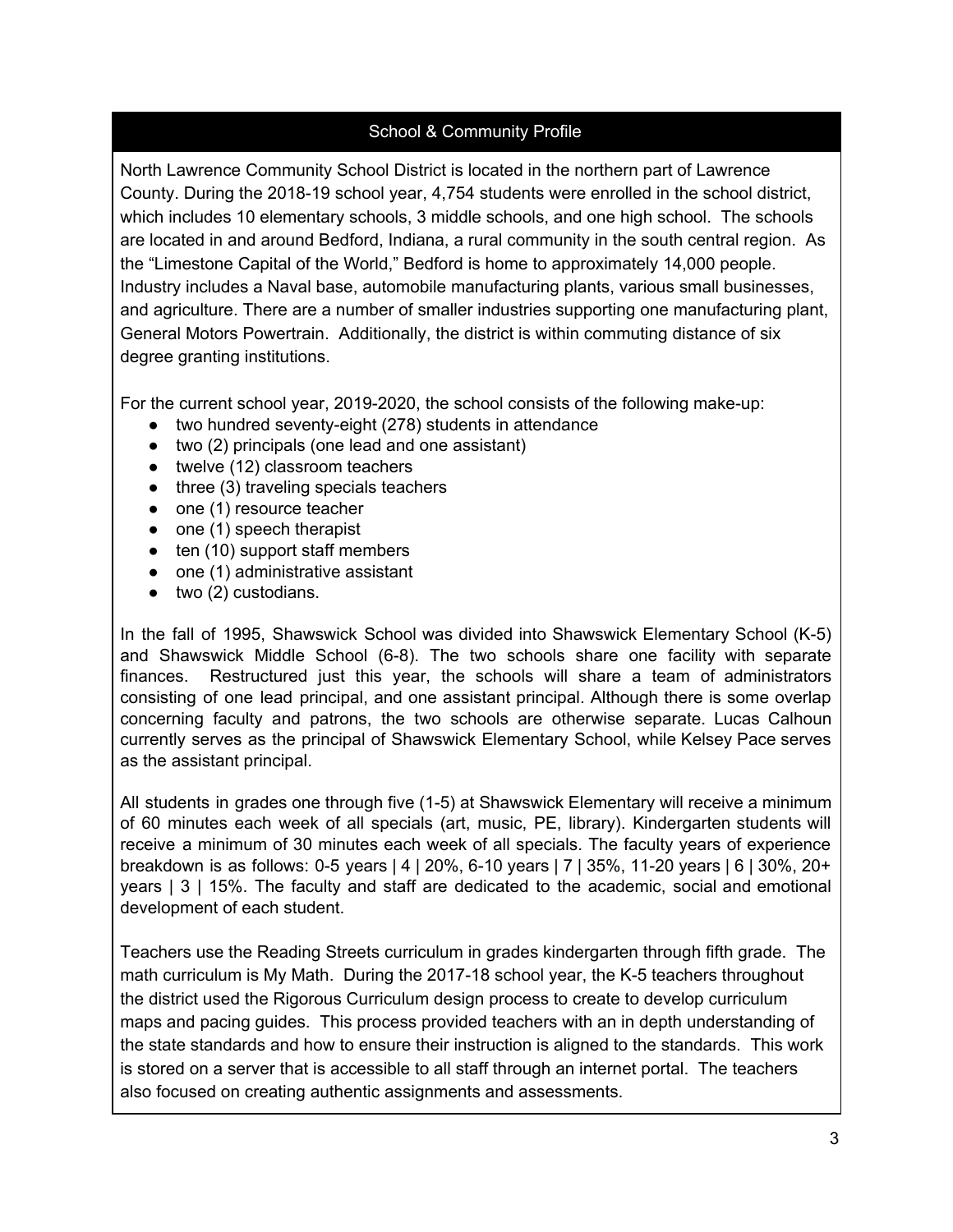## School & Community Profile

North Lawrence Community School District is located in the northern part of Lawrence County. During the 2018-19 school year, 4,754 students were enrolled in the school district, which includes 10 elementary schools, 3 middle schools, and one high school. The schools are located in and around Bedford, Indiana, a rural community in the south central region. As the "Limestone Capital of the World," Bedford is home to approximately 14,000 people. Industry includes a Naval base, automobile manufacturing plants, various small businesses, and agriculture. There are a number of smaller industries supporting one manufacturing plant, General Motors Powertrain. Additionally, the district is within commuting distance of six degree granting institutions.

For the current school year, 2019-2020, the school consists of the following make-up:

- two hundred seventy-eight (278) students in attendance
- two (2) principals (one lead and one assistant)
- twelve (12) classroom teachers
- three (3) traveling specials teachers
- one (1) resource teacher
- one (1) speech therapist
- $\bullet$  ten (10) support staff members
- one (1) administrative assistant
- two (2) custodians.

In the fall of 1995, Shawswick School was divided into Shawswick Elementary School (K-5) and Shawswick Middle School (6-8). The two schools share one facility with separate finances. Restructured just this year, the schools will share a team of administrators consisting of one lead principal, and one assistant principal. Although there is some overlap concerning faculty and patrons, the two schools are otherwise separate. Lucas Calhoun currently serves as the principal of Shawswick Elementary School, while Kelsey Pace serves as the assistant principal.

All students in grades one through five (1-5) at Shawswick Elementary will receive a minimum of 60 minutes each week of all specials (art, music, PE, library). Kindergarten students will receive a minimum of 30 minutes each week of all specials. The faculty years of experience breakdown is as follows: 0-5 years | 4 | 20%, 6-10 years | 7 | 35%, 11-20 years | 6 | 30%, 20+ years | 3 | 15%. The faculty and staff are dedicated to the academic, social and emotional development of each student.

Teachers use the Reading Streets curriculum in grades kindergarten through fifth grade. The math curriculum is My Math. During the 2017-18 school year, the K-5 teachers throughout the district used the Rigorous Curriculum design process to create to develop curriculum maps and pacing guides. This process provided teachers with an in depth understanding of the state standards and how to ensure their instruction is aligned to the standards. This work is stored on a server that is accessible to all staff through an internet portal. The teachers also focused on creating authentic assignments and assessments.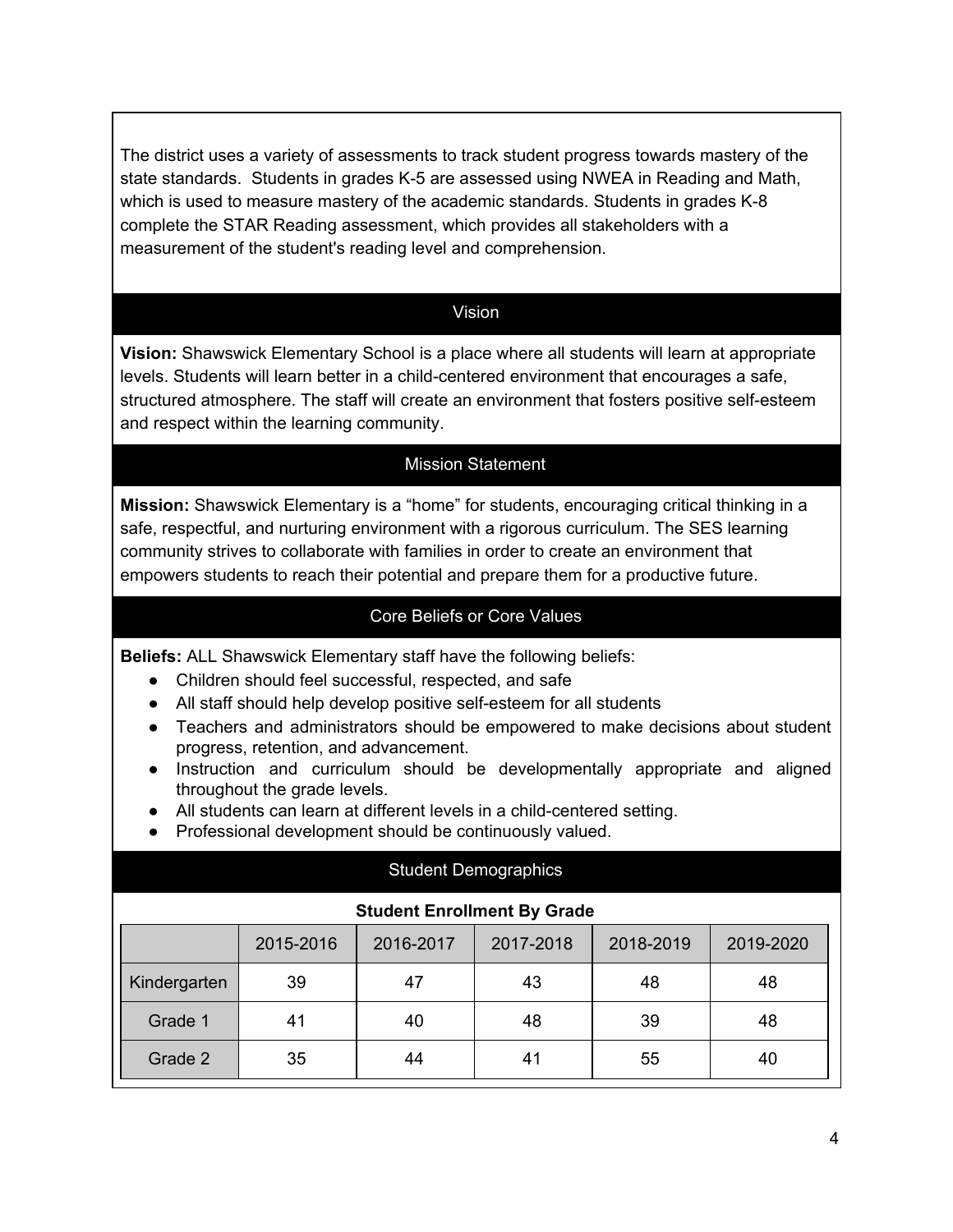The district uses a variety of assessments to track student progress towards mastery of the state standards. Students in grades K-5 are assessed using NWEA in Reading and Math, which is used to measure mastery of the academic standards. Students in grades K-8 complete the STAR Reading assessment, which provides all stakeholders with a measurement of the student's reading level and comprehension.

#### Vision

**Vision:** Shawswick Elementary School is a place where all students will learn at appropriate levels. Students will learn better in a child-centered environment that encourages a safe, structured atmosphere. The staff will create an environment that fosters positive self-esteem and respect within the learning community.

### Mission Statement

**Mission:** Shawswick Elementary is a "home" for students, encouraging critical thinking in a safe, respectful, and nurturing environment with a rigorous curriculum. The SES learning community strives to collaborate with families in order to create an environment that empowers students to reach their potential and prepare them for a productive future.

## Core Beliefs or Core Values

**Beliefs:** ALL Shawswick Elementary staff have the following beliefs:

- Children should feel successful, respected, and safe
- All staff should help develop positive self-esteem for all students
- Teachers and administrators should be empowered to make decisions about student progress, retention, and advancement.
- Instruction and curriculum should be developmentally appropriate and aligned throughout the grade levels.
- All students can learn at different levels in a child-centered setting.
- Professional development should be continuously valued.

|              |           |                                    | <b>Student Demographics</b> |           |           |
|--------------|-----------|------------------------------------|-----------------------------|-----------|-----------|
|              |           | <b>Student Enrollment By Grade</b> |                             |           |           |
|              | 2015-2016 | 2016-2017                          | 2017-2018                   | 2018-2019 | 2019-2020 |
| Kindergarten | 39        | 47                                 | 43                          | 48        | 48        |
| Grade 1      | 41        | 40                                 | 48                          | 39        | 48        |
| Grade 2      | 35        | 44                                 | 41                          | 55        | 40        |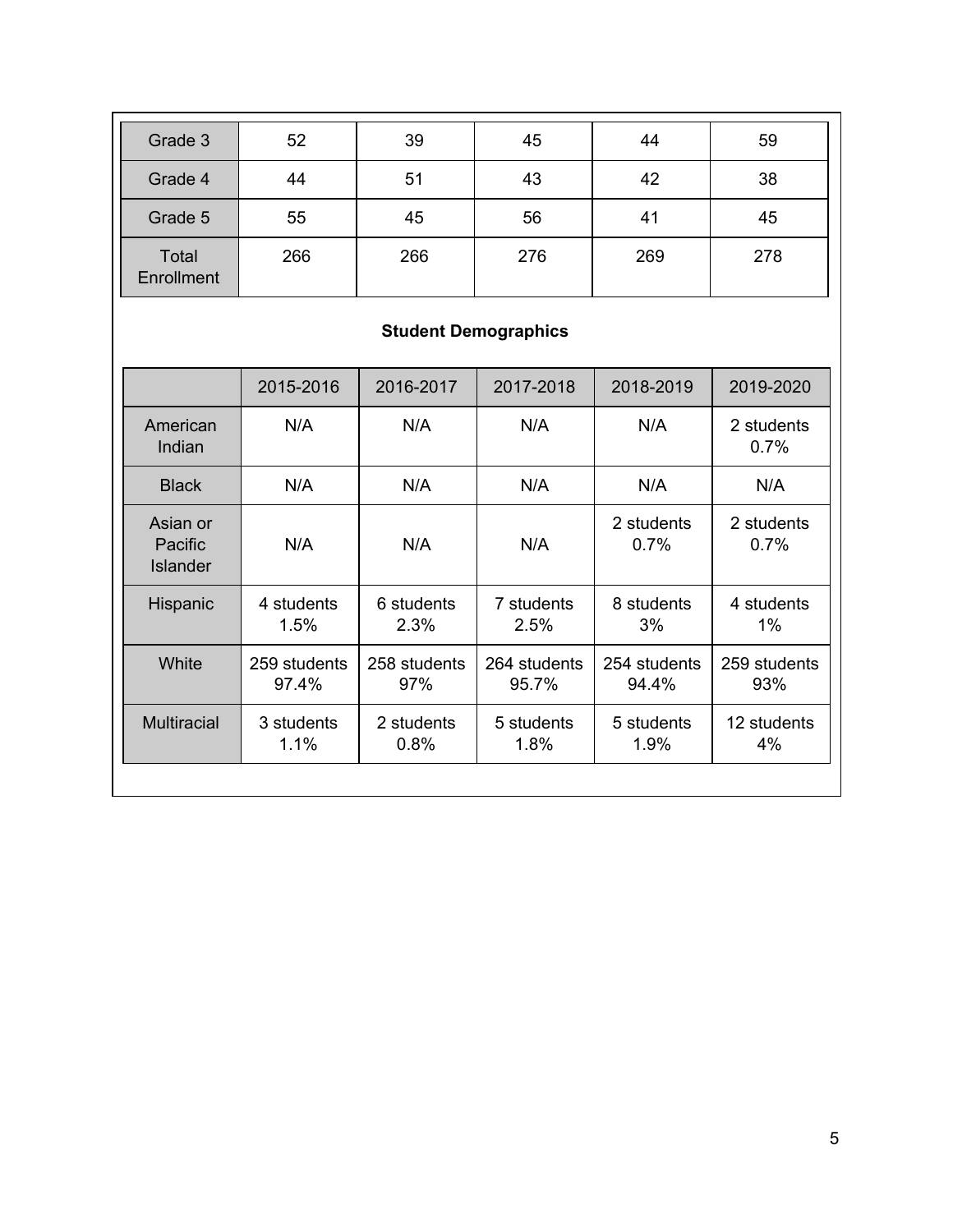| Grade 3                    | 52  | 39  | 45  | 44  | 59  |
|----------------------------|-----|-----|-----|-----|-----|
| Grade 4                    | 44  | 51  | 43  | 42  | 38  |
| Grade 5                    | 55  | 45  | 56  | 41  | 45  |
| <b>Total</b><br>Enrollment | 266 | 266 | 276 | 269 | 278 |

# **Student Demographics**

|                                        | 2015-2016             | 2016-2017           | 2017-2018             | 2018-2019             | 2019-2020           |
|----------------------------------------|-----------------------|---------------------|-----------------------|-----------------------|---------------------|
| American<br>Indian                     | N/A                   | N/A                 | N/A                   | N/A                   | 2 students<br>0.7%  |
| <b>Black</b>                           | N/A                   | N/A                 | N/A                   | N/A                   | N/A                 |
| Asian or<br>Pacific<br><b>Islander</b> | N/A                   | N/A                 | N/A                   | 2 students<br>$0.7\%$ | 2 students<br>0.7%  |
| Hispanic                               | 4 students<br>1.5%    | 6 students<br>2.3%  | 7 students<br>2.5%    | 8 students<br>3%      | 4 students<br>1%    |
| White                                  | 259 students<br>97.4% | 258 students<br>97% | 264 students<br>95.7% | 254 students<br>94.4% | 259 students<br>93% |
| <b>Multiracial</b>                     | 3 students<br>1.1%    | 2 students<br>0.8%  | 5 students<br>1.8%    | 5 students<br>1.9%    | 12 students<br>4%   |
|                                        |                       |                     |                       |                       |                     |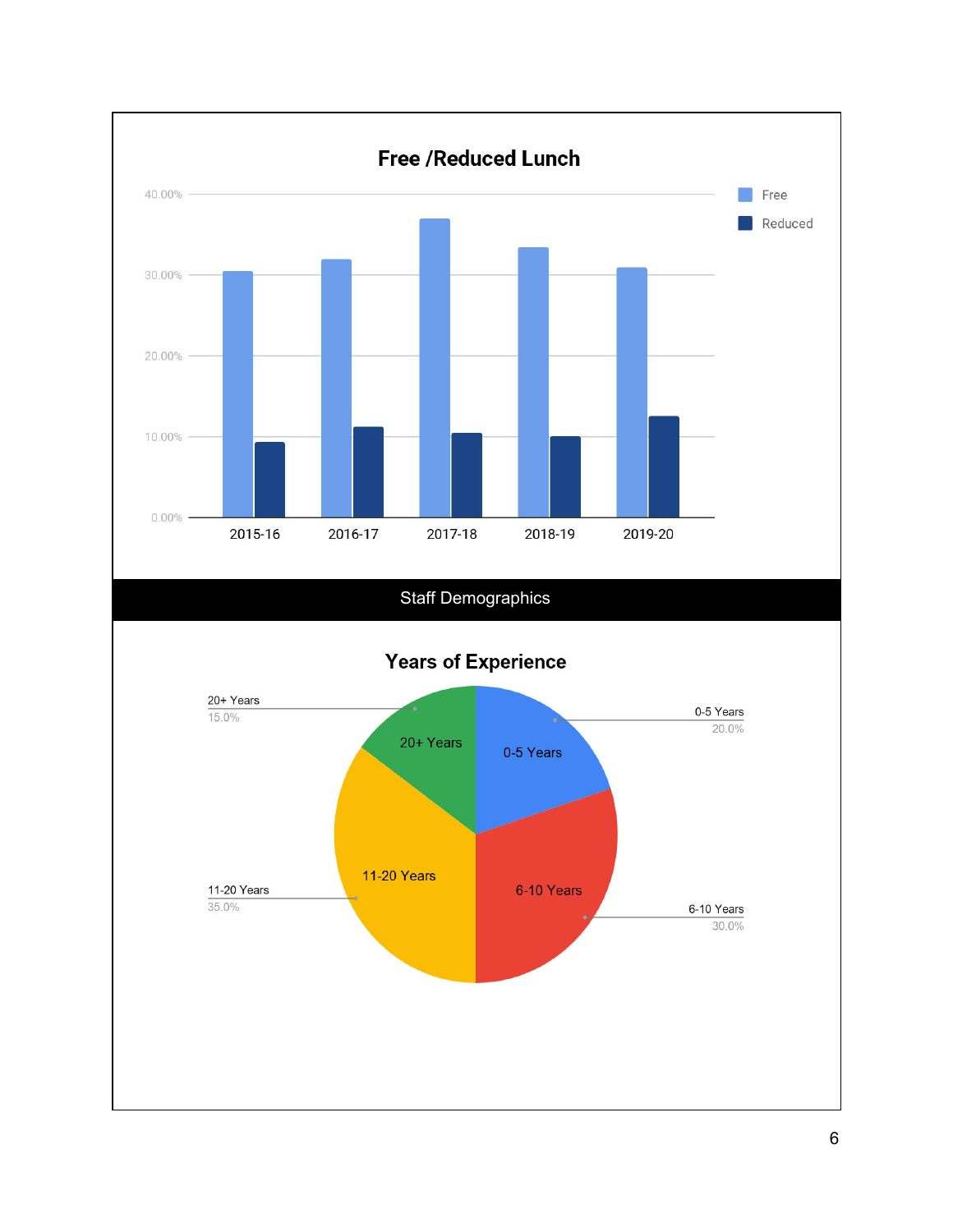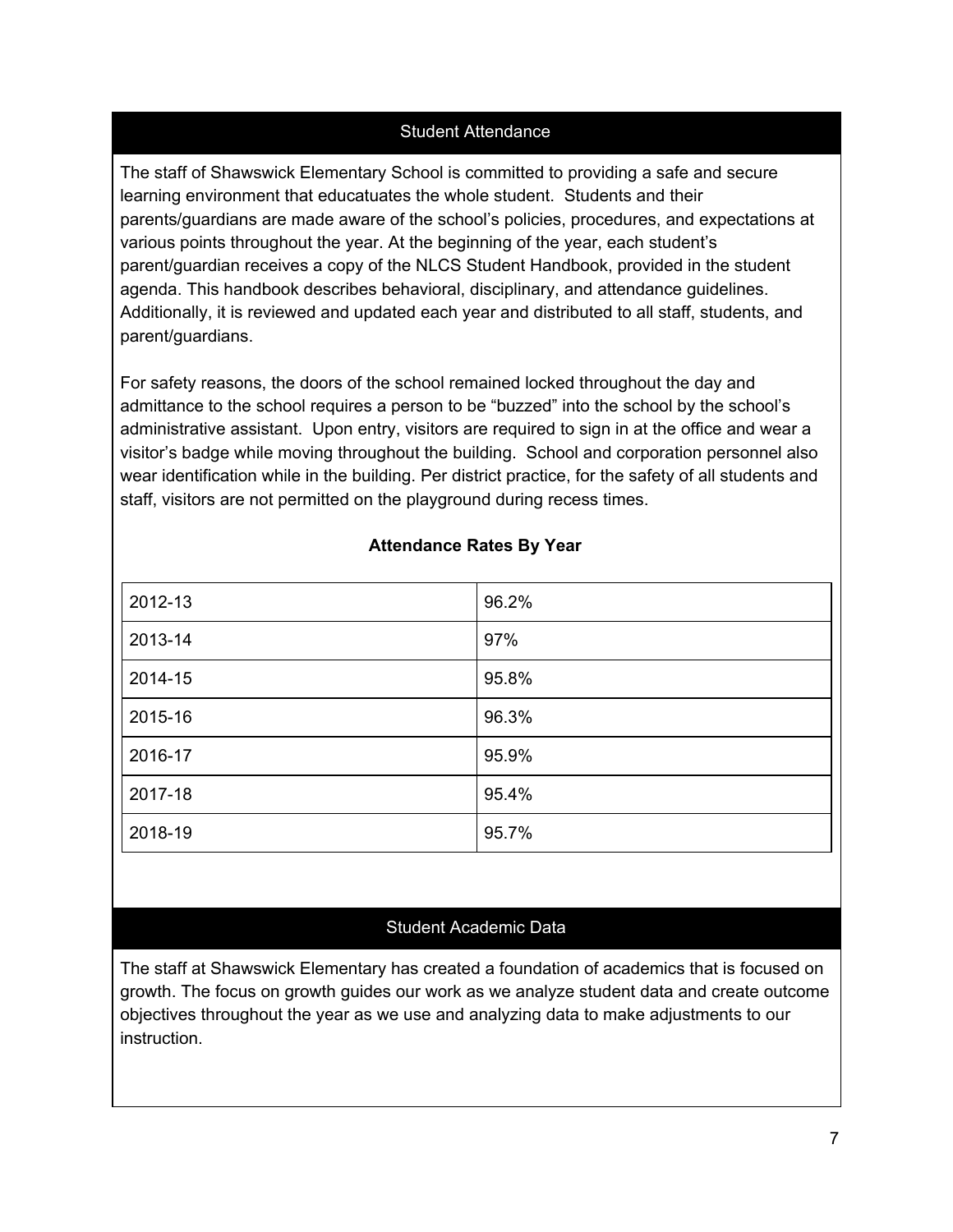### Student Attendance

The staff of Shawswick Elementary School is committed to providing a safe and secure learning environment that educatuates the whole student. Students and their parents/guardians are made aware of the school's policies, procedures, and expectations at various points throughout the year. At the beginning of the year, each student's parent/guardian receives a copy of the NLCS Student Handbook, provided in the student agenda. This handbook describes behavioral, disciplinary, and attendance guidelines. Additionally, it is reviewed and updated each year and distributed to all staff, students, and parent/guardians.

For safety reasons, the doors of the school remained locked throughout the day and admittance to the school requires a person to be "buzzed" into the school by the school's administrative assistant. Upon entry, visitors are required to sign in at the office and wear a visitor's badge while moving throughout the building. School and corporation personnel also wear identification while in the building. Per district practice, for the safety of all students and staff, visitors are not permitted on the playground during recess times.

| 2012-13 | 96.2% |
|---------|-------|
| 2013-14 | 97%   |
| 2014-15 | 95.8% |
| 2015-16 | 96.3% |
| 2016-17 | 95.9% |
| 2017-18 | 95.4% |
| 2018-19 | 95.7% |

#### **Attendance Rates By Year**

#### Student Academic Data

The staff at Shawswick Elementary has created a foundation of academics that is focused on growth. The focus on growth guides our work as we analyze student data and create outcome objectives throughout the year as we use and analyzing data to make adjustments to our instruction.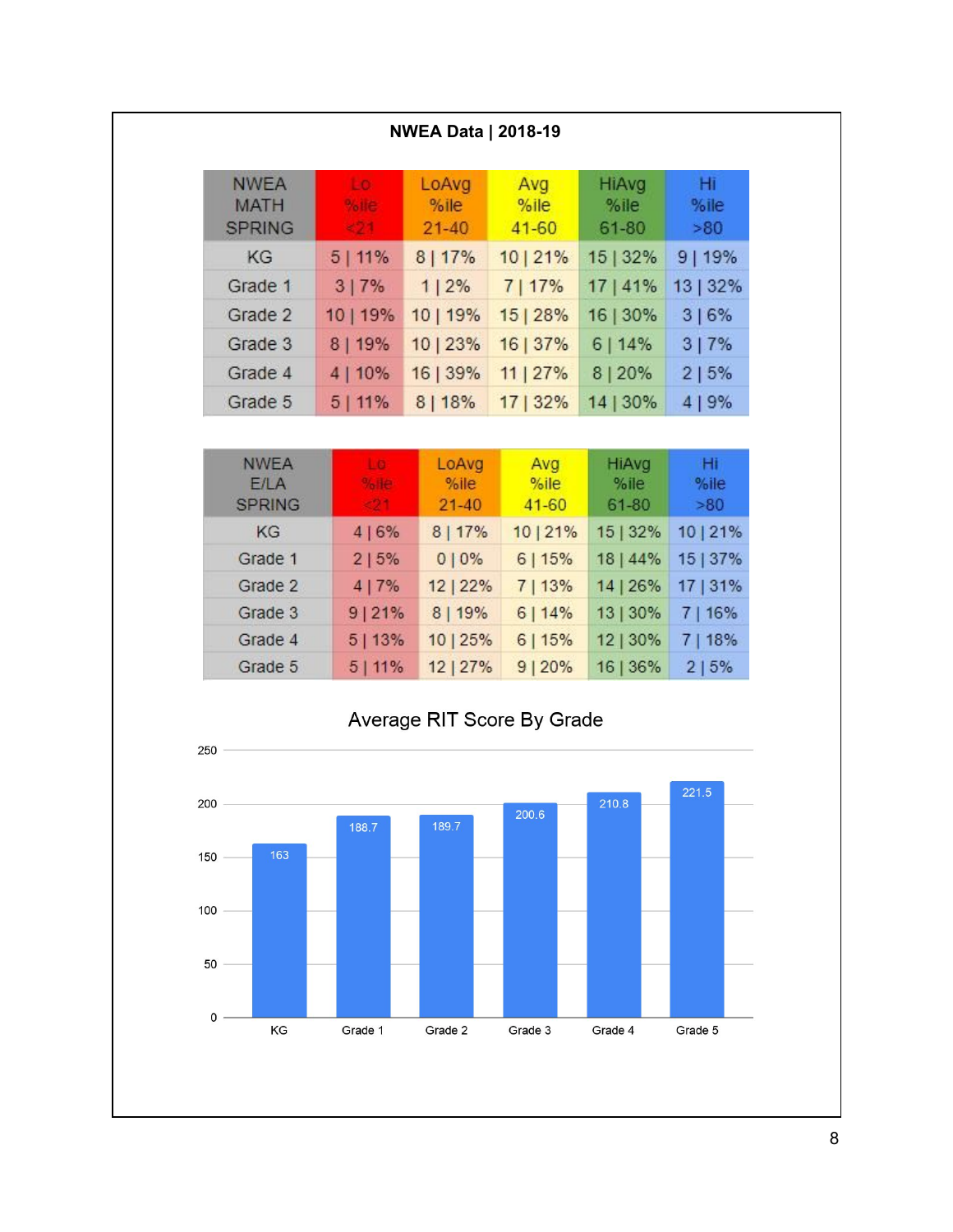|                                             |                                     | <b>NWEA Data   2018-19</b> |                          |                                  |                   |
|---------------------------------------------|-------------------------------------|----------------------------|--------------------------|----------------------------------|-------------------|
| <b>NWEA</b><br><b>MATH</b><br><b>SPRING</b> | Lo:<br>%ie:<br>$-21$                | LoAvg<br>%ile<br>$21 - 40$ | Avg<br>%ile<br>$41 - 60$ | <b>HiAvg</b><br>$%$ ile<br>61-80 | Hĩ<br>%ile<br>>80 |
| KG                                          | 5 11%                               | 8 17%                      | 10 21%                   | 15   32%                         | 9 19%             |
| Grade 1                                     | 3 7%                                | 1 2%                       | 7 17%                    | 17   41%                         | 13   32%          |
| Grade 2                                     | 10   19%                            | 10   19%                   | 15 28%                   | 16   30%                         | 3 6%              |
| Grade 3                                     | 8   19%                             | 10   23%                   | 16   37%                 | 6 14%                            | 3 7%              |
| Grade 4                                     | 4   10%                             | 16   39%                   | 11   27%                 | 8 20%                            | 2   5%            |
| Grade 5                                     | 5 11%                               | 8 18%                      | 17   32%                 | 14   30%                         | 4 9%              |
|                                             |                                     |                            |                          |                                  |                   |
| <b>NWEA</b><br>E/LA<br><b>SPRING</b>        | $\Box$<br>%He <sub>1</sub><br>$-21$ | LoAvg<br>%ile<br>$21 - 40$ | Avg<br>%ile<br>$41 - 60$ | HiAvg<br>$%$ ile<br>61-80        | Hi<br>%ile<br>>80 |
| KG                                          | 4 6%                                | 8 17%                      | 10 21%                   | 15   32%                         | 10 21%            |
| Grade 1                                     | 2 5%                                | 010%                       | 6 15%                    | 18   44%                         | 15   37%          |
| Grade 2                                     | 4 7%                                | 12   22%                   | 7 13%                    | 14   26%                         | 17   31%          |
| Grade 3                                     | 9 21%                               | 8   19%                    | 6 14%                    | 13   30%                         | 7 16%             |
| Grade 4                                     | 5 13%                               | 10   25%                   | 6 15%                    | 12   30%                         | 7   18%           |



12 | 27%

 $5|11%$ 

Grade 5

 $9|20%$ 

 $2 | 5%$ 

16 | 36%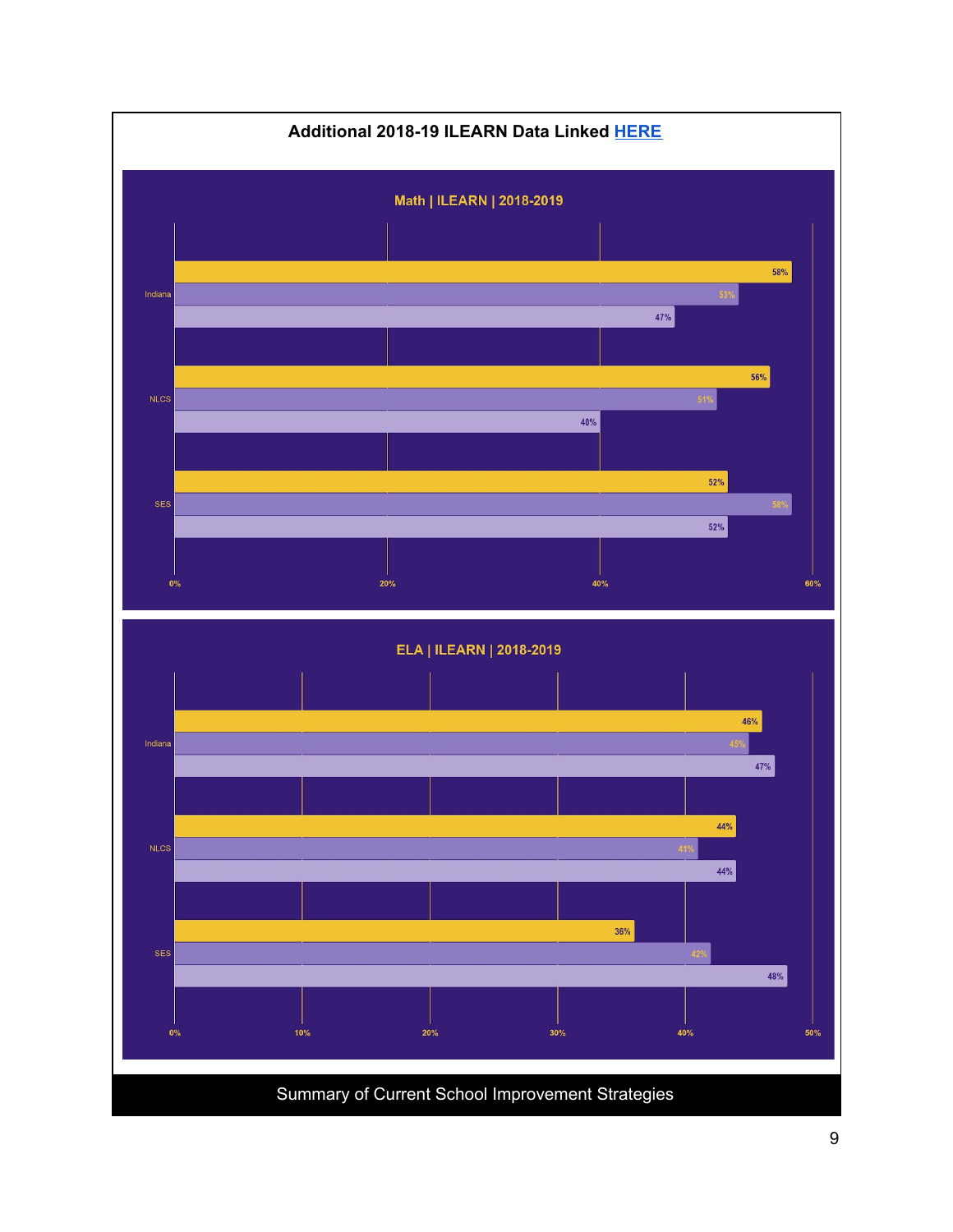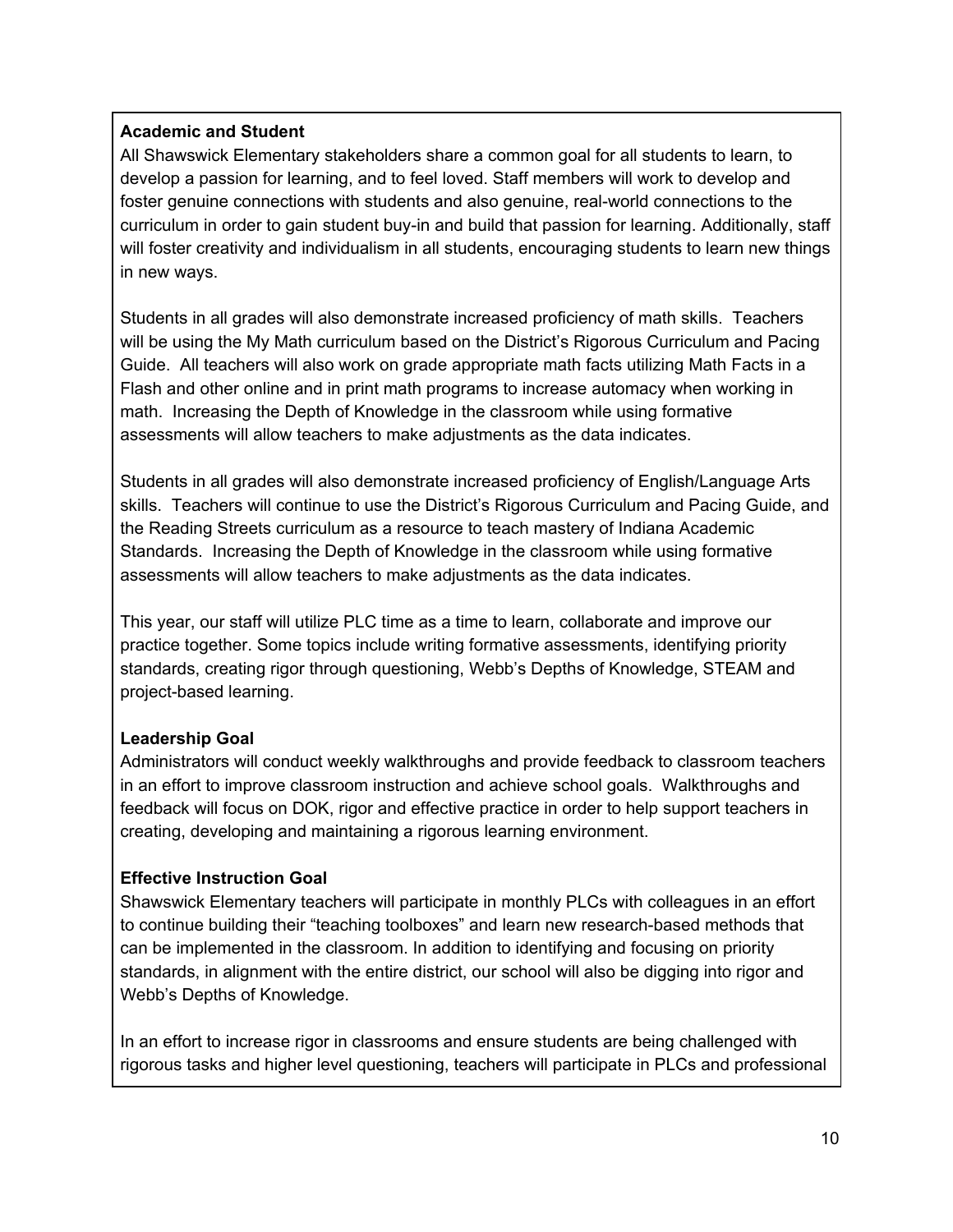### **Academic and Student**

All Shawswick Elementary stakeholders share a common goal for all students to learn, to develop a passion for learning, and to feel loved. Staff members will work to develop and foster genuine connections with students and also genuine, real-world connections to the curriculum in order to gain student buy-in and build that passion for learning. Additionally, staff will foster creativity and individualism in all students, encouraging students to learn new things in new ways.

Students in all grades will also demonstrate increased proficiency of math skills. Teachers will be using the My Math curriculum based on the District's Rigorous Curriculum and Pacing Guide. All teachers will also work on grade appropriate math facts utilizing Math Facts in a Flash and other online and in print math programs to increase automacy when working in math. Increasing the Depth of Knowledge in the classroom while using formative assessments will allow teachers to make adjustments as the data indicates.

Students in all grades will also demonstrate increased proficiency of English/Language Arts skills. Teachers will continue to use the District's Rigorous Curriculum and Pacing Guide, and the Reading Streets curriculum as a resource to teach mastery of Indiana Academic Standards. Increasing the Depth of Knowledge in the classroom while using formative assessments will allow teachers to make adjustments as the data indicates.

This year, our staff will utilize PLC time as a time to learn, collaborate and improve our practice together. Some topics include writing formative assessments, identifying priority standards, creating rigor through questioning, Webb's Depths of Knowledge, STEAM and project-based learning.

## **Leadership Goal**

Administrators will conduct weekly walkthroughs and provide feedback to classroom teachers in an effort to improve classroom instruction and achieve school goals. Walkthroughs and feedback will focus on DOK, rigor and effective practice in order to help support teachers in creating, developing and maintaining a rigorous learning environment.

### **Effective Instruction Goal**

Shawswick Elementary teachers will participate in monthly PLCs with colleagues in an effort to continue building their "teaching toolboxes" and learn new research-based methods that can be implemented in the classroom. In addition to identifying and focusing on priority standards, in alignment with the entire district, our school will also be digging into rigor and Webb's Depths of Knowledge.

In an effort to increase rigor in classrooms and ensure students are being challenged with rigorous tasks and higher level questioning, teachers will participate in PLCs and professional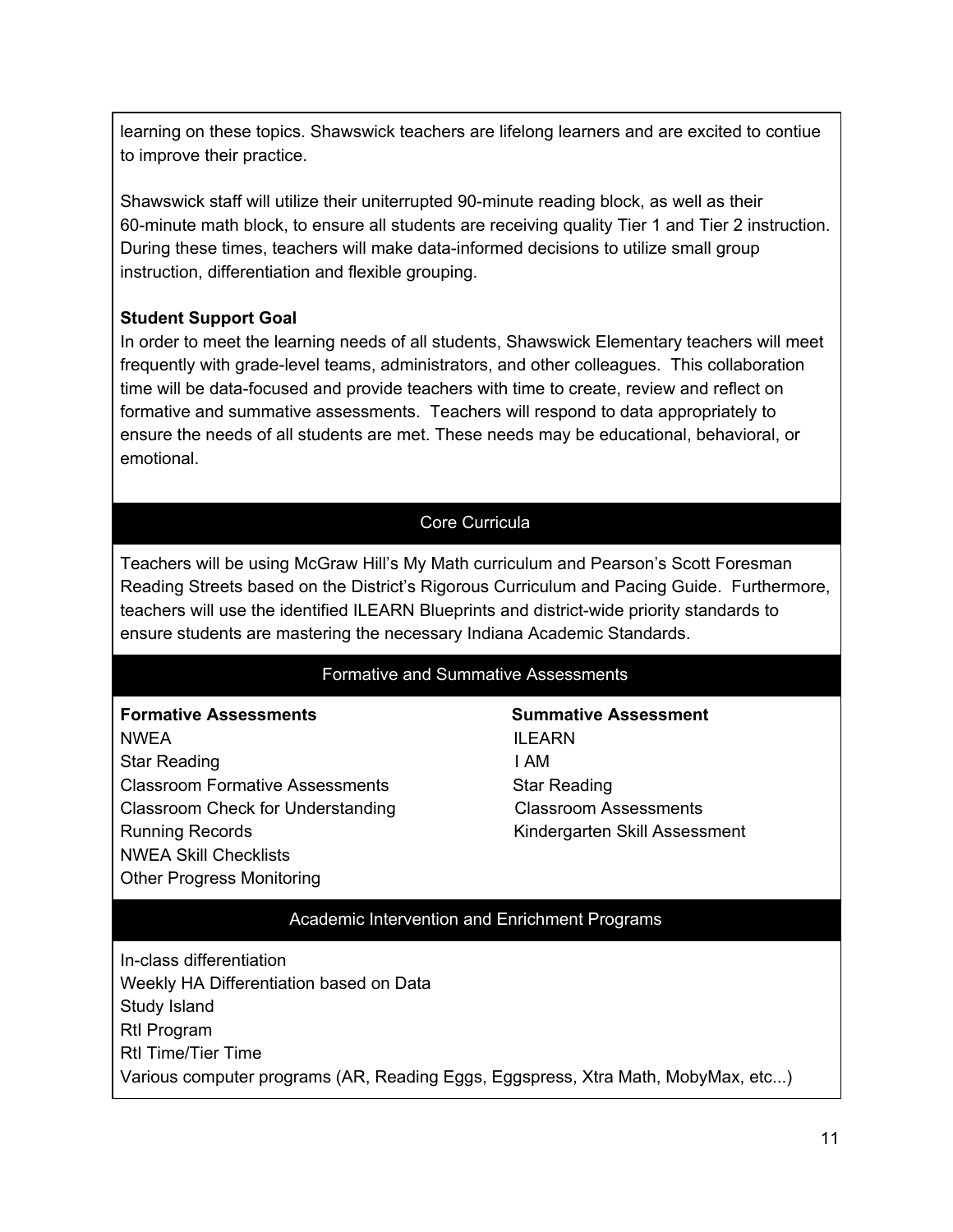learning on these topics. Shawswick teachers are lifelong learners and are excited to contiue to improve their practice.

Shawswick staff will utilize their uniterrupted 90-minute reading block, as well as their 60-minute math block, to ensure all students are receiving quality Tier 1 and Tier 2 instruction. During these times, teachers will make data-informed decisions to utilize small group instruction, differentiation and flexible grouping.

#### **Student Support Goal**

In order to meet the learning needs of all students, Shawswick Elementary teachers will meet frequently with grade-level teams, administrators, and other colleagues. This collaboration time will be data-focused and provide teachers with time to create, review and reflect on formative and summative assessments. Teachers will respond to data appropriately to ensure the needs of all students are met. These needs may be educational, behavioral, or emotional.

### Core Curricula

Teachers will be using McGraw Hill's My Math curriculum and Pearson's Scott Foresman Reading Streets based on the District's Rigorous Curriculum and Pacing Guide. Furthermore, teachers will use the identified ILEARN Blueprints and district-wide priority standards to ensure students are mastering the necessary Indiana Academic Standards.

#### Formative and Summative Assessments

## **Formative Assessments Summative Assessment** NWEA **ILEARN** Star Reading **I AM** Classroom Formative Assessments Star Reading Classroom Check for Understanding Classroom Assessments

NWEA Skill Checklists Other Progress Monitoring

Running Records Kindergarten Skill Assessment

### Academic Intervention and Enrichment Programs

In-class differentiation Weekly HA Differentiation based on Data Study Island RtI Program RtI Time/Tier Time Various computer programs (AR, Reading Eggs, Eggspress, Xtra Math, MobyMax, etc...)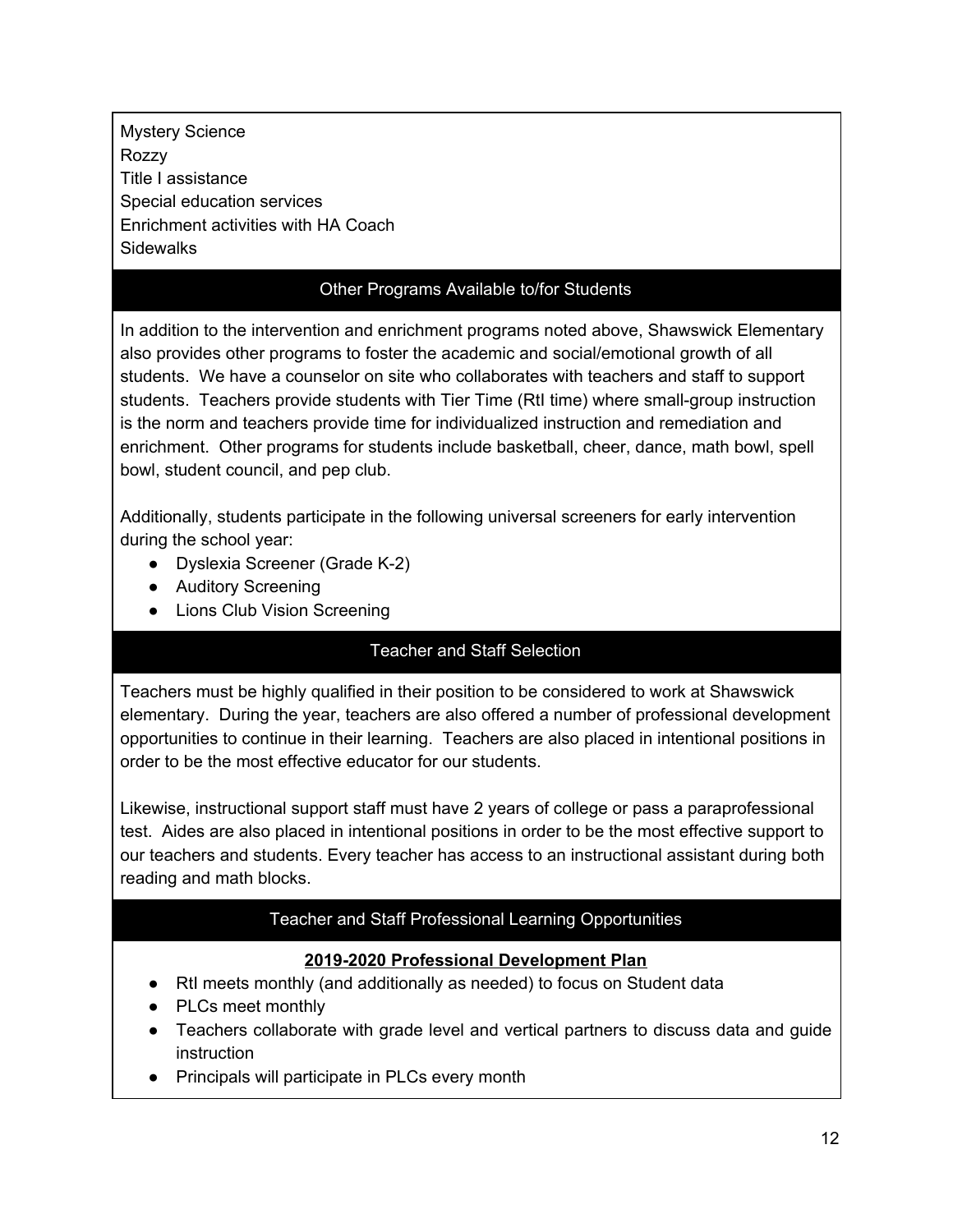Mystery Science Rozzy Title I assistance Special education services Enrichment activities with HA Coach **Sidewalks** 

#### Other Programs Available to/for Students

In addition to the intervention and enrichment programs noted above, Shawswick Elementary also provides other programs to foster the academic and social/emotional growth of all students. We have a counselor on site who collaborates with teachers and staff to support students. Teachers provide students with Tier Time (RtI time) where small-group instruction is the norm and teachers provide time for individualized instruction and remediation and enrichment. Other programs for students include basketball, cheer, dance, math bowl, spell bowl, student council, and pep club.

Additionally, students participate in the following universal screeners for early intervention during the school year:

- Dyslexia Screener (Grade K-2)
- Auditory Screening
- Lions Club Vision Screening

## Teacher and Staff Selection

Teachers must be highly qualified in their position to be considered to work at Shawswick elementary. During the year, teachers are also offered a number of professional development opportunities to continue in their learning. Teachers are also placed in intentional positions in order to be the most effective educator for our students.

Likewise, instructional support staff must have 2 years of college or pass a paraprofessional test. Aides are also placed in intentional positions in order to be the most effective support to our teachers and students. Every teacher has access to an instructional assistant during both reading and math blocks.

### Teacher and Staff Professional Learning Opportunities

### **2019-2020 Professional Development Plan**

- RtI meets monthly (and additionally as needed) to focus on Student data
- PLCs meet monthly
- Teachers collaborate with grade level and vertical partners to discuss data and guide instruction
- Principals will participate in PLCs every month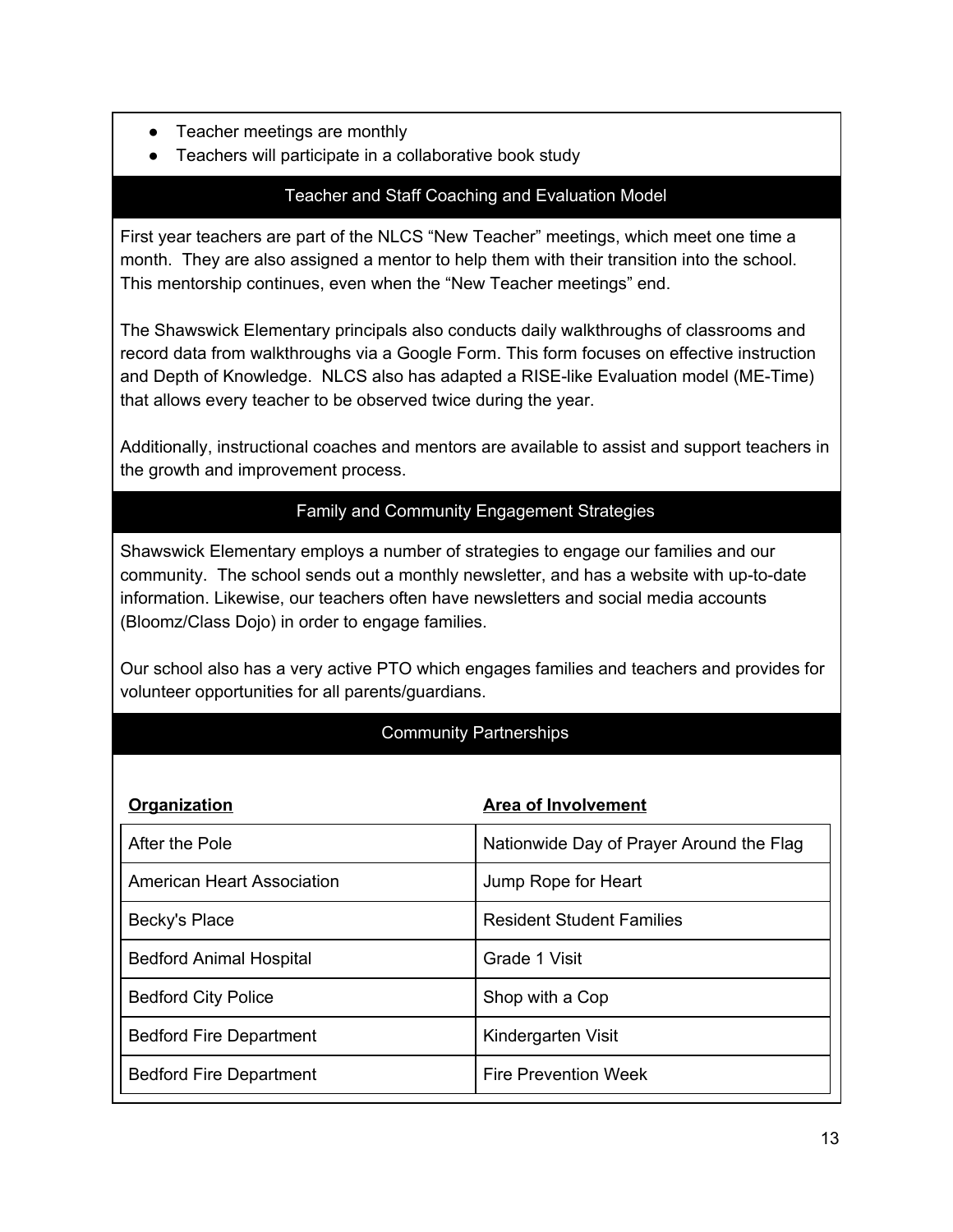- Teacher meetings are monthly
- Teachers will participate in a collaborative book study

### Teacher and Staff Coaching and Evaluation Model

First year teachers are part of the NLCS "New Teacher" meetings, which meet one time a month. They are also assigned a mentor to help them with their transition into the school. This mentorship continues, even when the "New Teacher meetings" end.

The Shawswick Elementary principals also conducts daily walkthroughs of classrooms and record data from walkthroughs via a Google Form. This form focuses on effective instruction and Depth of Knowledge. NLCS also has adapted a RISE-like Evaluation model (ME-Time) that allows every teacher to be observed twice during the year.

Additionally, instructional coaches and mentors are available to assist and support teachers in the growth and improvement process.

#### Family and Community Engagement Strategies

Shawswick Elementary employs a number of strategies to engage our families and our community. The school sends out a monthly newsletter, and has a website with up-to-date information. Likewise, our teachers often have newsletters and social media accounts (Bloomz/Class Dojo) in order to engage families.

Our school also has a very active PTO which engages families and teachers and provides for volunteer opportunities for all parents/guardians.

### Community Partnerships

| <b>Organization</b>            | <b>Area of Involvement</b>               |
|--------------------------------|------------------------------------------|
| After the Pole                 | Nationwide Day of Prayer Around the Flag |
| American Heart Association     | Jump Rope for Heart                      |
| Becky's Place                  | <b>Resident Student Families</b>         |
| <b>Bedford Animal Hospital</b> | Grade 1 Visit                            |
| <b>Bedford City Police</b>     | Shop with a Cop                          |
| <b>Bedford Fire Department</b> | Kindergarten Visit                       |
| <b>Bedford Fire Department</b> | <b>Fire Prevention Week</b>              |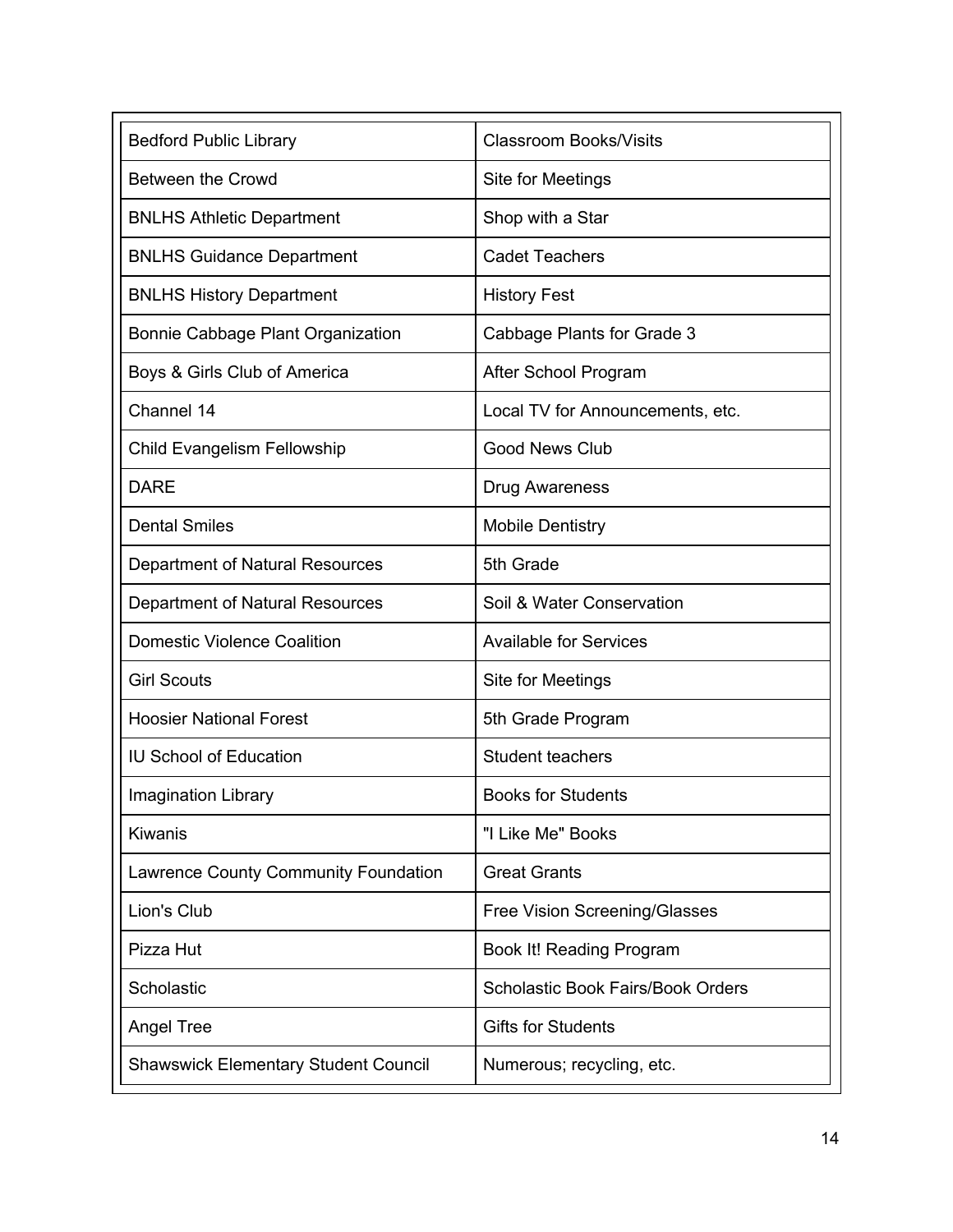| <b>Bedford Public Library</b>               | <b>Classroom Books/Visits</b>            |
|---------------------------------------------|------------------------------------------|
| <b>Between the Crowd</b>                    | Site for Meetings                        |
| <b>BNLHS Athletic Department</b>            | Shop with a Star                         |
| <b>BNLHS Guidance Department</b>            | <b>Cadet Teachers</b>                    |
| <b>BNLHS History Department</b>             | <b>History Fest</b>                      |
| Bonnie Cabbage Plant Organization           | Cabbage Plants for Grade 3               |
| Boys & Girls Club of America                | After School Program                     |
| Channel 14                                  | Local TV for Announcements, etc.         |
| <b>Child Evangelism Fellowship</b>          | <b>Good News Club</b>                    |
| <b>DARE</b>                                 | <b>Drug Awareness</b>                    |
| <b>Dental Smiles</b>                        | <b>Mobile Dentistry</b>                  |
| Department of Natural Resources             | 5th Grade                                |
| Department of Natural Resources             | Soil & Water Conservation                |
| <b>Domestic Violence Coalition</b>          | <b>Available for Services</b>            |
| <b>Girl Scouts</b>                          | Site for Meetings                        |
| <b>Hoosier National Forest</b>              | 5th Grade Program                        |
| <b>IU School of Education</b>               | Student teachers                         |
| Imagination Library                         | <b>Books for Students</b>                |
| Kiwanis                                     | "I Like Me" Books                        |
| Lawrence County Community Foundation        | <b>Great Grants</b>                      |
| Lion's Club                                 | <b>Free Vision Screening/Glasses</b>     |
| Pizza Hut                                   | Book It! Reading Program                 |
| Scholastic                                  | <b>Scholastic Book Fairs/Book Orders</b> |
| <b>Angel Tree</b>                           | <b>Gifts for Students</b>                |
| <b>Shawswick Elementary Student Council</b> | Numerous; recycling, etc.                |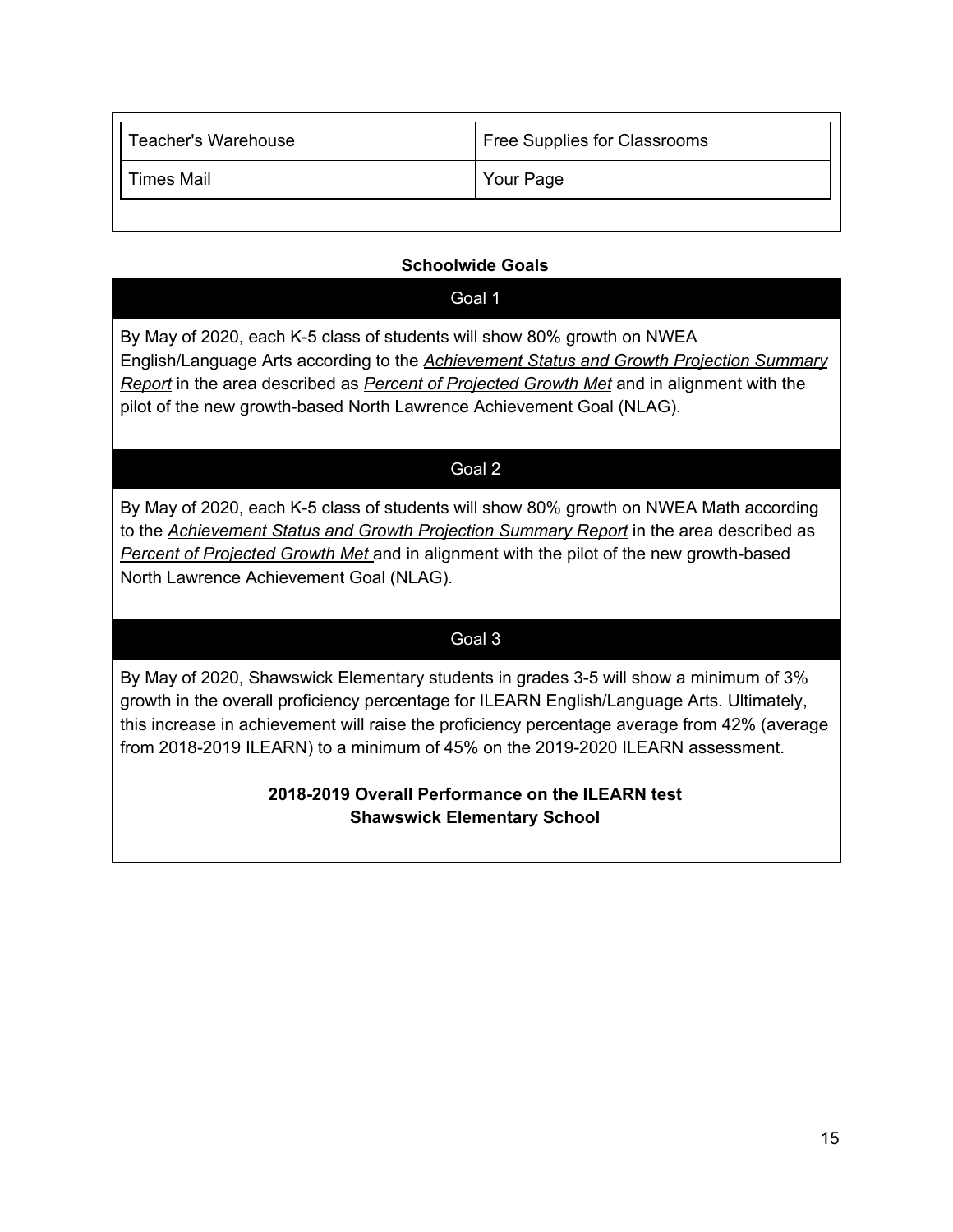| <b>Teacher's Warehouse</b> | Free Supplies for Classrooms |
|----------------------------|------------------------------|
| <b>Times Mail</b>          | Your Page                    |
|                            |                              |

### **Schoolwide Goals**

#### Goal 1

By May of 2020, each K-5 class of students will show 80% growth on NWEA English/Language Arts according to the *Achievement Status and Growth Projection Summary Report* in the area described as *Percent of Projected Growth Met* and in alignment with the pilot of the new growth-based North Lawrence Achievement Goal (NLAG).

#### Goal 2

By May of 2020, each K-5 class of students will show 80% growth on NWEA Math according to the *Achievement Status and Growth Projection Summary Report* in the area described as *Percent of Projected Growth Met* and in alignment with the pilot of the new growth-based North Lawrence Achievement Goal (NLAG).

## Goal 3

By May of 2020, Shawswick Elementary students in grades 3-5 will show a minimum of 3% growth in the overall proficiency percentage for ILEARN English/Language Arts. Ultimately, this increase in achievement will raise the proficiency percentage average from 42% (average from 2018-2019 ILEARN) to a minimum of 45% on the 2019-2020 ILEARN assessment.

## **2018-2019 Overall Performance on the ILEARN test Shawswick Elementary School**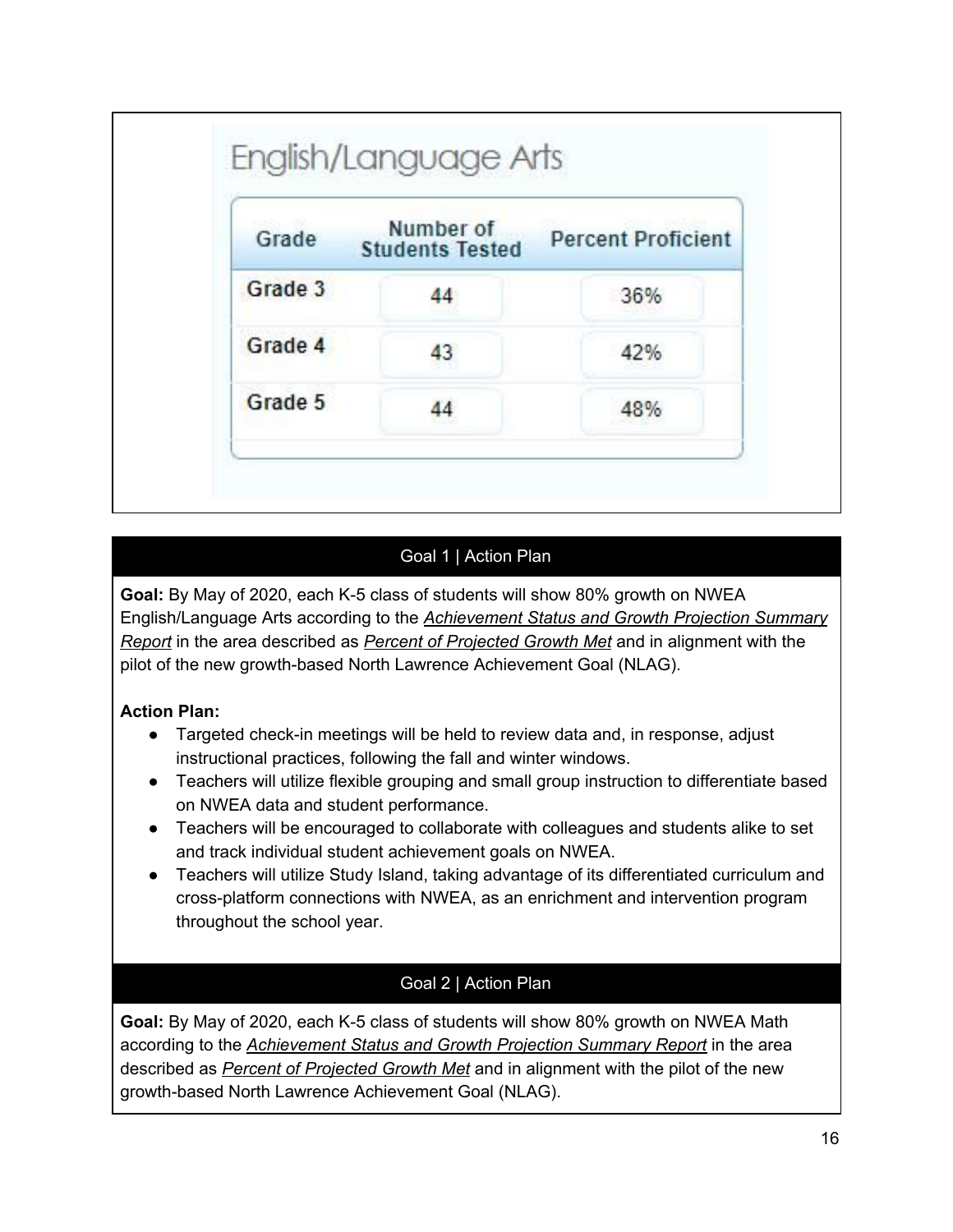| Grade   | Number of<br><b>Students Tested</b> | <b>Percent Proficient</b> |
|---------|-------------------------------------|---------------------------|
| Grade 3 | 44                                  | 36%                       |
| Grade 4 | 43                                  | 42%                       |
| Grade 5 | 44                                  | 48%                       |

## Goal 1 | Action Plan

**Goal:** By May of 2020, each K-5 class of students will show 80% growth on NWEA English/Language Arts according to the *Achievement Status and Growth Projection Summary Report* in the area described as *Percent of Projected Growth Met* and in alignment with the pilot of the new growth-based North Lawrence Achievement Goal (NLAG).

## **Action Plan:**

- Targeted check-in meetings will be held to review data and, in response, adjust instructional practices, following the fall and winter windows.
- Teachers will utilize flexible grouping and small group instruction to differentiate based on NWEA data and student performance.
- Teachers will be encouraged to collaborate with colleagues and students alike to set and track individual student achievement goals on NWEA.
- Teachers will utilize Study Island, taking advantage of its differentiated curriculum and cross-platform connections with NWEA, as an enrichment and intervention program throughout the school year.

## Goal 2 | Action Plan

**Goal:** By May of 2020, each K-5 class of students will show 80% growth on NWEA Math according to the *Achievement Status and Growth Projection Summary Report* in the area described as *Percent of Projected Growth Met* and in alignment with the pilot of the new growth-based North Lawrence Achievement Goal (NLAG).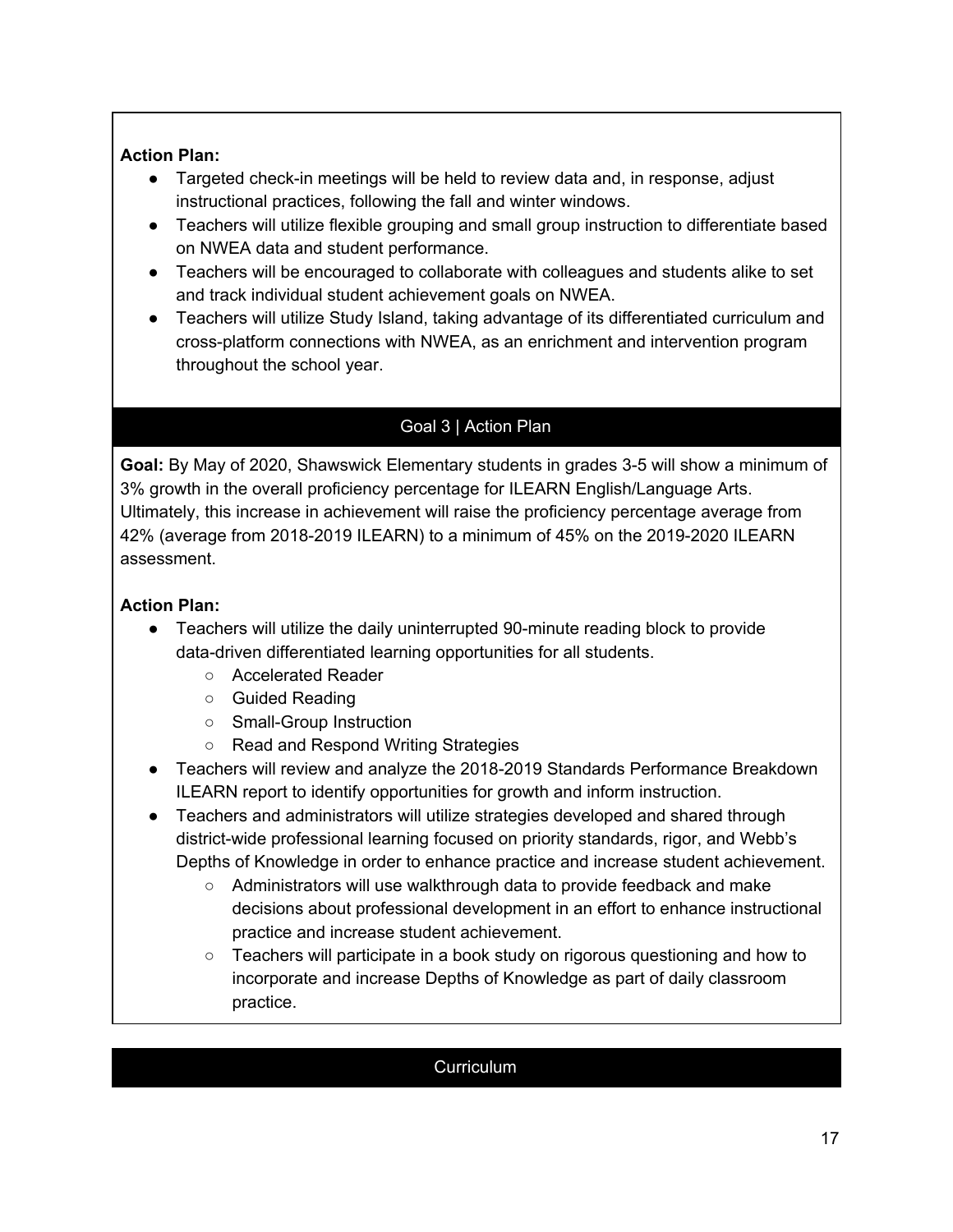### **Action Plan:**

- Targeted check-in meetings will be held to review data and, in response, adjust instructional practices, following the fall and winter windows.
- Teachers will utilize flexible grouping and small group instruction to differentiate based on NWEA data and student performance.
- Teachers will be encouraged to collaborate with colleagues and students alike to set and track individual student achievement goals on NWEA.
- Teachers will utilize Study Island, taking advantage of its differentiated curriculum and cross-platform connections with NWEA, as an enrichment and intervention program throughout the school year.

# Goal 3 | Action Plan

**Goal:** By May of 2020, Shawswick Elementary students in grades 3-5 will show a minimum of 3% growth in the overall proficiency percentage for ILEARN English/Language Arts. Ultimately, this increase in achievement will raise the proficiency percentage average from 42% (average from 2018-2019 ILEARN) to a minimum of 45% on the 2019-2020 ILEARN assessment.

### **Action Plan:**

- Teachers will utilize the daily uninterrupted 90-minute reading block to provide data-driven differentiated learning opportunities for all students.
	- Accelerated Reader
	- Guided Reading
	- Small-Group Instruction
	- Read and Respond Writing Strategies
- Teachers will review and analyze the 2018-2019 Standards Performance Breakdown ILEARN report to identify opportunities for growth and inform instruction.
- Teachers and administrators will utilize strategies developed and shared through district-wide professional learning focused on priority standards, rigor, and Webb's Depths of Knowledge in order to enhance practice and increase student achievement.
	- Administrators will use walkthrough data to provide feedback and make decisions about professional development in an effort to enhance instructional practice and increase student achievement.
	- $\circ$  Teachers will participate in a book study on rigorous questioning and how to incorporate and increase Depths of Knowledge as part of daily classroom practice.

### **Curriculum**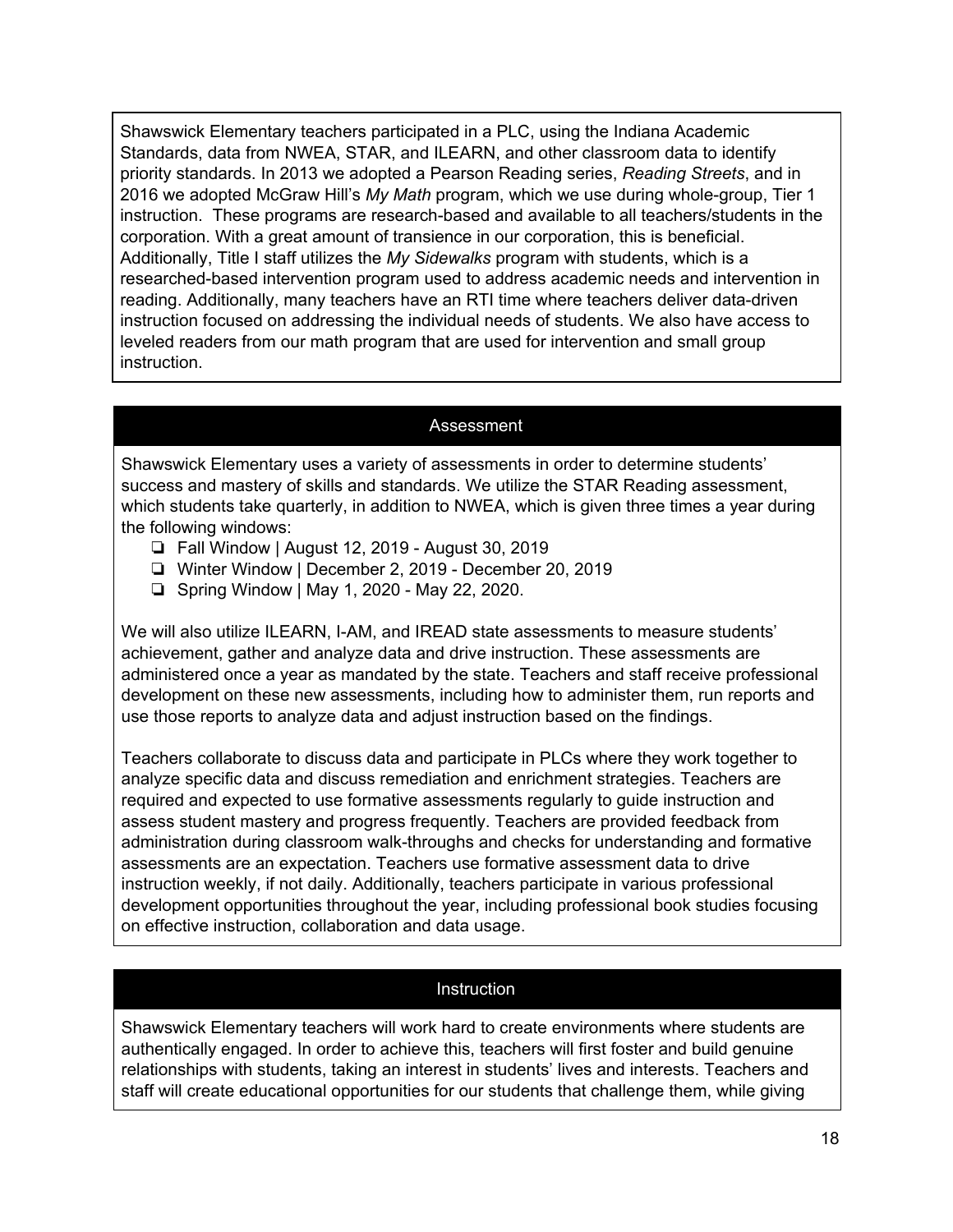Shawswick Elementary teachers participated in a PLC, using the Indiana Academic Standards, data from NWEA, STAR, and ILEARN, and other classroom data to identify priority standards. In 2013 we adopted a Pearson Reading series, *Reading Streets*, and in 2016 we adopted McGraw Hill's *My Math* program, which we use during whole-group, Tier 1 instruction. These programs are research-based and available to all teachers/students in the corporation. With a great amount of transience in our corporation, this is beneficial. Additionally, Title I staff utilizes the *My Sidewalks* program with students, which is a researched-based intervention program used to address academic needs and intervention in reading. Additionally, many teachers have an RTI time where teachers deliver data-driven instruction focused on addressing the individual needs of students. We also have access to leveled readers from our math program that are used for intervention and small group instruction.

#### Assessment

Shawswick Elementary uses a variety of assessments in order to determine students' success and mastery of skills and standards. We utilize the STAR Reading assessment, which students take quarterly, in addition to NWEA, which is given three times a year during the following windows:

- ❏ Fall Window | August 12, 2019 August 30, 2019
- ❏ Winter Window | December 2, 2019 December 20, 2019
- ❏ Spring Window | May 1, 2020 May 22, 2020.

We will also utilize ILEARN, I-AM, and IREAD state assessments to measure students' achievement, gather and analyze data and drive instruction. These assessments are administered once a year as mandated by the state. Teachers and staff receive professional development on these new assessments, including how to administer them, run reports and use those reports to analyze data and adjust instruction based on the findings.

Teachers collaborate to discuss data and participate in PLCs where they work together to analyze specific data and discuss remediation and enrichment strategies. Teachers are required and expected to use formative assessments regularly to guide instruction and assess student mastery and progress frequently. Teachers are provided feedback from administration during classroom walk-throughs and checks for understanding and formative assessments are an expectation. Teachers use formative assessment data to drive instruction weekly, if not daily. Additionally, teachers participate in various professional development opportunities throughout the year, including professional book studies focusing on effective instruction, collaboration and data usage.

#### **Instruction**

Shawswick Elementary teachers will work hard to create environments where students are authentically engaged. In order to achieve this, teachers will first foster and build genuine relationships with students, taking an interest in students' lives and interests. Teachers and staff will create educational opportunities for our students that challenge them, while giving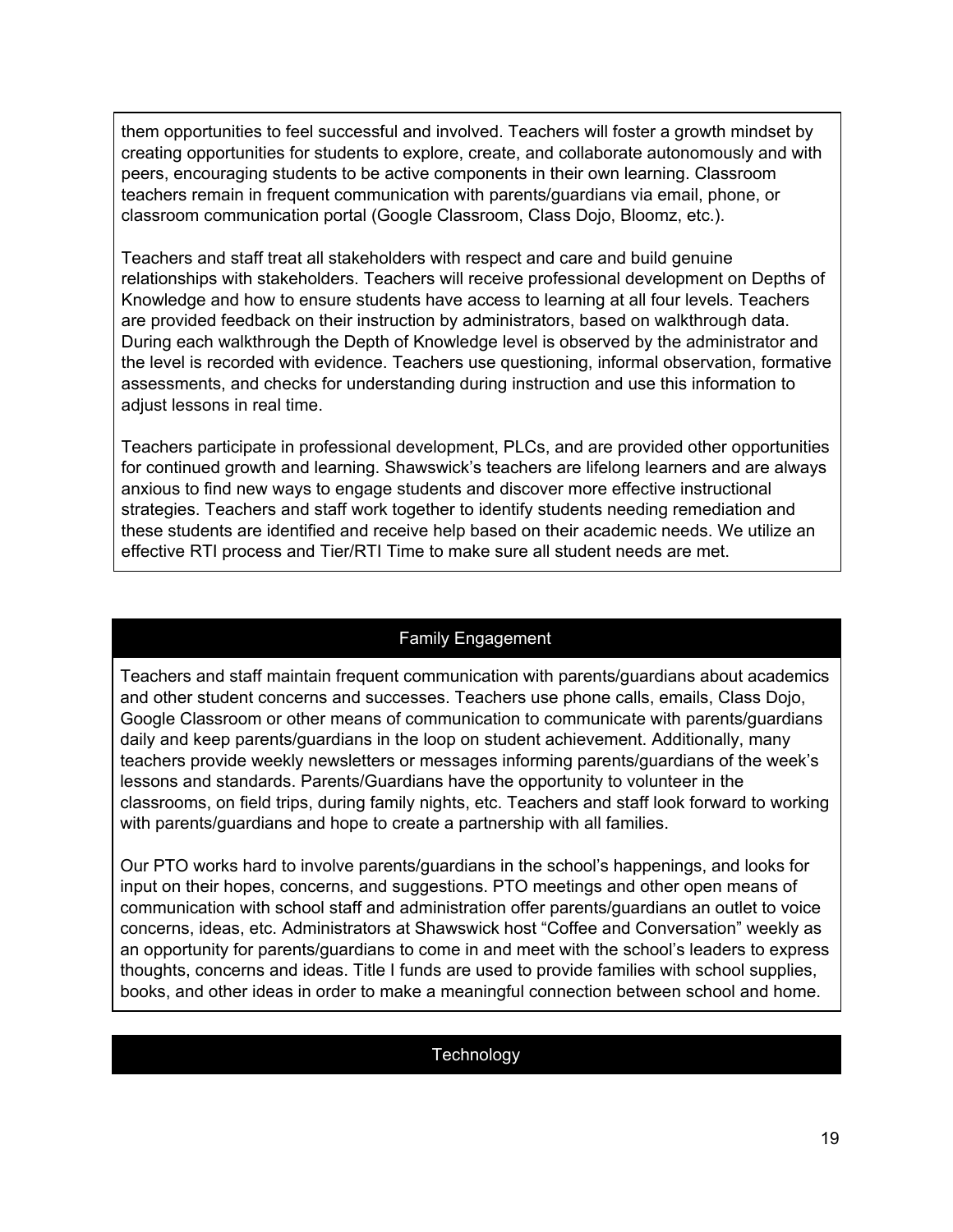them opportunities to feel successful and involved. Teachers will foster a growth mindset by creating opportunities for students to explore, create, and collaborate autonomously and with peers, encouraging students to be active components in their own learning. Classroom teachers remain in frequent communication with parents/guardians via email, phone, or classroom communication portal (Google Classroom, Class Dojo, Bloomz, etc.).

Teachers and staff treat all stakeholders with respect and care and build genuine relationships with stakeholders. Teachers will receive professional development on Depths of Knowledge and how to ensure students have access to learning at all four levels. Teachers are provided feedback on their instruction by administrators, based on walkthrough data. During each walkthrough the Depth of Knowledge level is observed by the administrator and the level is recorded with evidence. Teachers use questioning, informal observation, formative assessments, and checks for understanding during instruction and use this information to adjust lessons in real time.

Teachers participate in professional development, PLCs, and are provided other opportunities for continued growth and learning. Shawswick's teachers are lifelong learners and are always anxious to find new ways to engage students and discover more effective instructional strategies. Teachers and staff work together to identify students needing remediation and these students are identified and receive help based on their academic needs. We utilize an effective RTI process and Tier/RTI Time to make sure all student needs are met.

#### Family Engagement

Teachers and staff maintain frequent communication with parents/guardians about academics and other student concerns and successes. Teachers use phone calls, emails, Class Dojo, Google Classroom or other means of communication to communicate with parents/guardians daily and keep parents/guardians in the loop on student achievement. Additionally, many teachers provide weekly newsletters or messages informing parents/guardians of the week's lessons and standards. Parents/Guardians have the opportunity to volunteer in the classrooms, on field trips, during family nights, etc. Teachers and staff look forward to working with parents/guardians and hope to create a partnership with all families.

Our PTO works hard to involve parents/guardians in the school's happenings, and looks for input on their hopes, concerns, and suggestions. PTO meetings and other open means of communication with school staff and administration offer parents/guardians an outlet to voice concerns, ideas, etc. Administrators at Shawswick host "Coffee and Conversation" weekly as an opportunity for parents/guardians to come in and meet with the school's leaders to express thoughts, concerns and ideas. Title I funds are used to provide families with school supplies, books, and other ideas in order to make a meaningful connection between school and home.

#### **Technology**